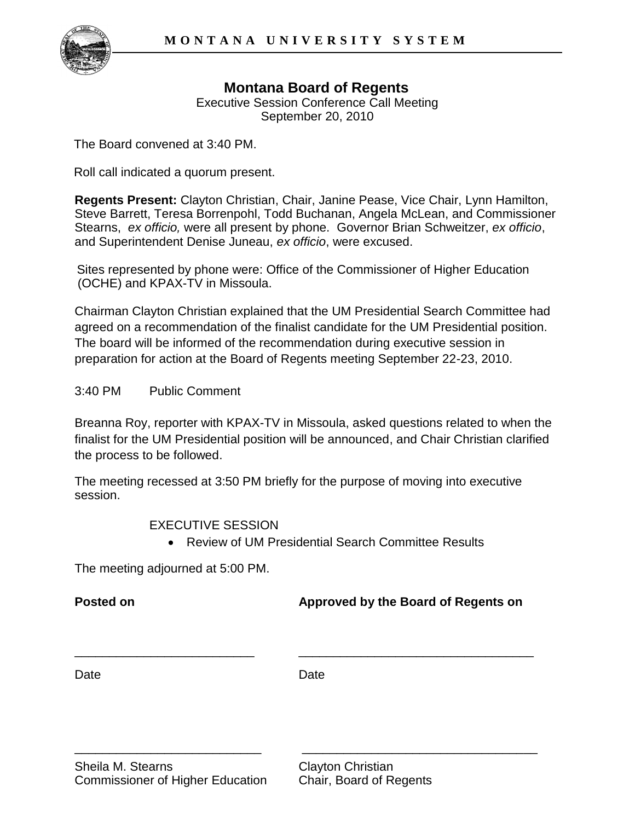

## **Montana Board of Regents**

Executive Session Conference Call Meeting September 20, 2010

The Board convened at 3:40 PM.

Roll call indicated a quorum present.

**Regents Present:** Clayton Christian, Chair, Janine Pease, Vice Chair, Lynn Hamilton, Steve Barrett, Teresa Borrenpohl, Todd Buchanan, Angela McLean, and Commissioner Stearns, *ex officio,* were all present by phone. Governor Brian Schweitzer, *ex officio*, and Superintendent Denise Juneau, *ex officio*, were excused.

Sites represented by phone were: Office of the Commissioner of Higher Education (OCHE) and KPAX-TV in Missoula.

Chairman Clayton Christian explained that the UM Presidential Search Committee had agreed on a recommendation of the finalist candidate for the UM Presidential position. The board will be informed of the recommendation during executive session in preparation for action at the Board of Regents meeting September 22-23, 2010.

3:40 PM Public Comment

Breanna Roy, reporter with KPAX-TV in Missoula, asked questions related to when the finalist for the UM Presidential position will be announced, and Chair Christian clarified the process to be followed.

The meeting recessed at 3:50 PM briefly for the purpose of moving into executive session.

EXECUTIVE SESSION

Review of UM Presidential Search Committee Results

The meeting adjourned at 5:00 PM.

**Posted on Approved by the Board of Regents on**

Date **Date** Date **Date** 

\_\_\_\_\_\_\_\_\_\_\_\_\_\_\_\_\_\_\_\_\_\_\_\_\_\_\_ \_\_\_\_\_\_\_\_\_\_\_\_\_\_\_\_\_\_\_\_\_\_\_\_\_\_\_\_\_\_\_\_\_\_

\_\_\_\_\_\_\_\_\_\_\_\_\_\_\_\_\_\_\_\_\_\_\_\_\_\_ \_\_\_\_\_\_\_\_\_\_\_\_\_\_\_\_\_\_\_\_\_\_\_\_\_\_\_\_\_\_\_\_\_\_